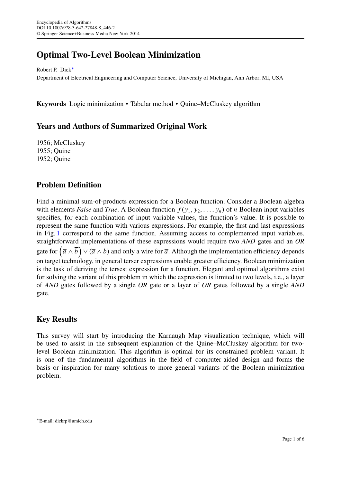# **Optimal Two-Level Boolean Minimization**

Robert P. Dick<sup>\*</sup> Department of Electrical Engineering and Computer Science, University of Michigan, Ann Arbor, MI, USA

**Keywords** Logic minimization • Tabular method • Quine–McCluskey algorithm

### **Years and Authors of Summarized Original Work**

1956; McCluskey 1955; Quine 1952; Quine

### **Problem Definition**

Find a minimal sum-of-products expression for a Boolean function. Consider a Boolean algebra with elements *False* and *True*. A Boolean function  $f(y_1, y_2, \ldots, y_n)$  of n Boolean input variables specifies, for each combination of input variable values, the function's value. It is possible to represent the same function with various expressions. For example, the first and last expressions in Fig. [1](#page-1-0) correspond to the same function. Assuming access to complemented input variables, straightforward implementations of these expressions would require two *AND* gates and an *OR* gate for  $(\overline{a} \wedge \overline{b}) \vee (\overline{a} \wedge b)$  and only a wire for  $\overline{a}$ . Although the implementation efficiency depends on target technology, in general terser expressions enable greater efficiency. Boolean minimization is the task of deriving the tersest expression for a function. Elegant and optimal algorithms exist for solving the variant of this problem in which the expression is limited to two levels, i.e., a layer of *AND* gates followed by a single *OR* gate or a layer of *OR* gates followed by a single *AND* gate.

### **Key Results**

This survey will start by introducing the Karnaugh Map visualization technique, which will be used to assist in the subsequent explanation of the Quine–McCluskey algorithm for twolevel Boolean minimization. This algorithm is optimal for its constrained problem variant. It is one of the fundamental algorithms in the field of computer-aided design and forms the basis or inspiration for many solutions to more general variants of the Boolean minimization problem.

<span id="page-0-0"></span><sup>-</sup>E-mail: dickrp@umich.edu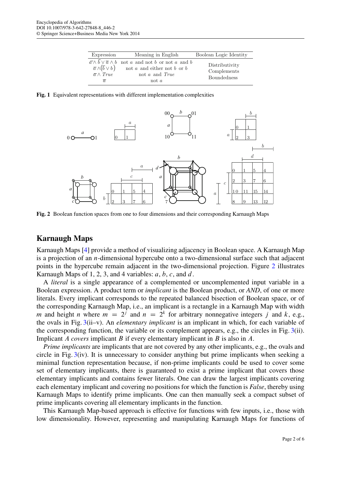| Expression                                                                                  | Meaning in English                                                                                                                                  | Boolean Logic Identity                              |
|---------------------------------------------------------------------------------------------|-----------------------------------------------------------------------------------------------------------------------------------------------------|-----------------------------------------------------|
| $\overline{a} \wedge (\overline{b} \vee b)$<br>$\overline{a} \wedge True$<br>$\overline{a}$ | $\overline{a} \wedge b \vee \overline{a} \wedge b$ not a and not b or not a and b<br>not $a$ and either not $b$ or $b$<br>not a and True<br>not $a$ | Distributivity<br>Complements<br><b>Boundedness</b> |

**Fig. 1** Equivalent representations with different implementation complexities

<span id="page-1-0"></span>

<span id="page-1-1"></span>**Fig. 2** Boolean function spaces from one to four dimensions and their corresponding Karnaugh Maps

### **Karnaugh Maps**

Karnaugh Maps [\[4\]](#page-5-0) provide a method of visualizing adjacency in Boolean space. A Karnaugh Map is a projection of an *n*-dimensional hypercube onto a two-dimensional surface such that adjacent points in the hypercube remain adjacent in the two-dimensional projection. Figure [2](#page-1-1) illustrates Karnaugh Maps of 1, 2, 3, and 4 variables:  $a, b, c$ , and  $d$ .

A *literal* is a single appearance of a complemented or uncomplemented input variable in a Boolean expression. A product term or *implicant* is the Boolean product, or *AND*, of one or more literals. Every implicant corresponds to the repeated balanced bisection of Boolean space, or of the corresponding Karnaugh Map, i.e., an implicant is a rectangle in a Karnaugh Map with width m and height n where  $m = 2<sup>j</sup>$  and  $n = 2<sup>k</sup>$  for arbitrary nonnegative integers j and k, e.g., the ovals in Fig. [3\(](#page-2-0)ii–v). An *elementary implicant* is an implicant in which, for each variable of the corresponding function, the variable or its complement appears, e.g., the circles in Fig. [3\(](#page-2-0)ii). Implicant A *covers* implicant B if every elementary implicant in B is also in A.

*Prime implicants* are implicants that are not covered by any other implicants, e.g., the ovals and circle in Fig.  $3(iv)$  $3(iv)$ . It is unnecessary to consider anything but prime implicants when seeking a minimal function representation because, if non-prime implicants could be used to cover some set of elementary implicants, there is guaranteed to exist a prime implicant that covers those elementary implicants and contains fewer literals. One can draw the largest implicants covering each elementary implicant and covering no positions for which the function is *False*, thereby using Karnaugh Maps to identify prime implicants. One can then manually seek a compact subset of prime implicants covering all elementary implicants in the function.

This Karnaugh Map-based approach is effective for functions with few inputs, i.e., those with low dimensionality. However, representing and manipulating Karnaugh Maps for functions of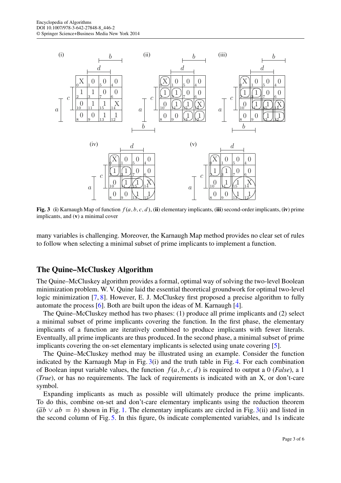

<span id="page-2-0"></span>**Fig. 3** (i) Karnaugh Map of function  $f(a, b, c, d)$ , (ii) elementary implicants, (iii) second-order implicants, (iv) prime implicants, and (**v**) a minimal cover

many variables is challenging. Moreover, the Karnaugh Map method provides no clear set of rules to follow when selecting a minimal subset of prime implicants to implement a function.

### **The Quine–McCluskey Algorithm**

The Quine–McCluskey algorithm provides a formal, optimal way of solving the two-level Boolean minimization problem. W. V. Quine laid the essential theoretical groundwork for optimal two-level logic minimization [\[7,](#page-5-1) [8\]](#page-5-2). However, E. J. McCluskey first proposed a precise algorithm to fully automate the process [\[6\]](#page-5-3). Both are built upon the ideas of M. Karnaugh [\[4\]](#page-5-0).

The Quine–McCluskey method has two phases: (1) produce all prime implicants and (2) select a minimal subset of prime implicants covering the function. In the first phase, the elementary implicants of a function are iteratively combined to produce implicants with fewer literals. Eventually, all prime implicants are thus produced. In the second phase, a minimal subset of prime implicants covering the on-set elementary implicants is selected using unate covering [\[5\]](#page-5-4).

The Quine–McCluskey method may be illustrated using an example. Consider the function indicated by the Karnaugh Map in Fig.  $3(i)$  $3(i)$  and the truth table in Fig. [4.](#page-3-0) For each combination of Boolean input variable values, the function  $f(a, b, c, d)$  is required to output a 0 (*False*), a 1 (*True*), or has no requirements. The lack of requirements is indicated with an X, or don't-care symbol.

Expanding implicants as much as possible will ultimately produce the prime implicants. To do this, combine on-set and don't-care elementary implicants using the reduction theorem  $(\overline{ab} \vee ab = b)$  shown in Fig. [1.](#page-1-0) The elementary implicants are circled in Fig. [3\(](#page-2-0)ii) and listed in the second column of Fig. [5.](#page-3-1) In this figure, 0s indicate complemented variables, and 1s indicate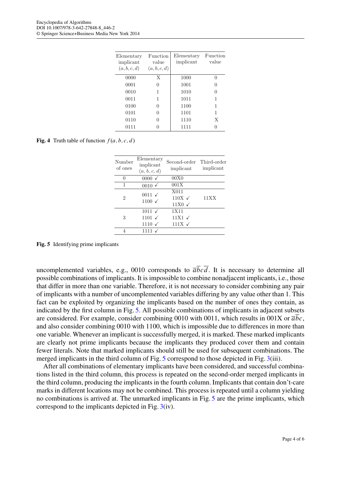| Elementary<br>implicant<br>(a, b, c, d) | Function<br>value<br>(a, b, c, d) | Elementary<br>implicant | Function<br>value |
|-----------------------------------------|-----------------------------------|-------------------------|-------------------|
| 0000                                    | X                                 | 1000                    | $\left( \right)$  |
| 0001                                    | $\left( \right)$                  | 1001                    | $\left( \right)$  |
| 0010                                    | 1                                 | 1010                    | 0                 |
| 0011                                    | 1                                 | 1011                    | 1                 |
| 0100                                    | $\mathbf{0}$                      | 1100                    | 1                 |
| 0101                                    | $\left( \right)$                  | 1101                    | 1                 |
| 0110                                    | $\mathbf{0}$                      | 1110                    | X                 |
| 0111                                    |                                   | 1111                    |                   |

#### <span id="page-3-0"></span>**Fig. 4** Truth table of function  $f(a, b, c, d)$

| Number<br>of ones           | Elementary<br>implicant<br>(a, b, c, d)                     | Second-order Third-order<br>implicant          | implicant |
|-----------------------------|-------------------------------------------------------------|------------------------------------------------|-----------|
|                             | 0000 $\checkmark$                                           | 00X0                                           |           |
| 1                           | $0010 \sqrt{ }$                                             | 001X                                           |           |
| $\mathcal{D}_{\mathcal{L}}$ | $0011 \checkmark$<br>1100 $\checkmark$                      | X011<br>$110X \checkmark$<br>$11X0 \checkmark$ | 11 X X    |
| 3                           | $1011 \checkmark$<br>$1101 \checkmark$<br>1110 $\checkmark$ | 1X11<br>$11X1 \checkmark$<br>111X $\checkmark$ |           |
|                             | 1111 $\checkmark$                                           |                                                |           |

<span id="page-3-1"></span>**Fig. 5** Identifying prime implicants

uncomplemented variables, e.g., 0010 corresponds to  $\overline{a}\overline{b}c\overline{d}$ . It is necessary to determine all possible combinations of implicants. It is impossible to combine nonadjacent implicants, i.e., those that differ in more than one variable. Therefore, it is not necessary to consider combining any pair of implicants with a number of uncomplemented variables differing by any value other than 1. This fact can be exploited by organizing the implicants based on the number of ones they contain, as indicated by the first column in Fig. [5.](#page-3-1) All possible combinations of implicants in adjacent subsets are considered. For example, consider combining 0010 with 0011, which results in 001X or  $\overline{a}bc$ , and also consider combining 0010 with 1100, which is impossible due to differences in more than one variable. Whenever an implicant is successfully merged, it is marked. These marked implicants are clearly not prime implicants because the implicants they produced cover them and contain fewer literals. Note that marked implicants should still be used for subsequent combinations. The merged implicants in the third column of Fig. [5](#page-3-1) correspond to those depicted in Fig. [3\(](#page-2-0)iii).

After all combinations of elementary implicants have been considered, and successful combinations listed in the third column, this process is repeated on the second-order merged implicants in the third column, producing the implicants in the fourth column. Implicants that contain don't-care marks in different locations may not be combined. This process is repeated until a column yielding no combinations is arrived at. The unmarked implicants in Fig. [5](#page-3-1) are the prime implicants, which correspond to the implicants depicted in Fig. [3\(](#page-2-0)iv).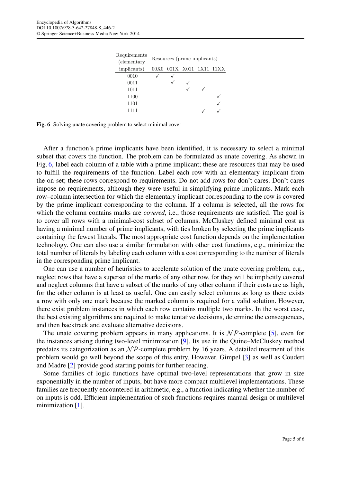| Requirements | Resources (prime implicants) |                     |  |  |  |
|--------------|------------------------------|---------------------|--|--|--|
| (elementary) |                              |                     |  |  |  |
| implicants)  | 00X0                         | 001X X011 1X11 11XX |  |  |  |
| 0010         |                              |                     |  |  |  |
| 0011         |                              |                     |  |  |  |
| 1011         |                              |                     |  |  |  |
| 1100         |                              |                     |  |  |  |
| 1101         |                              |                     |  |  |  |
| 1111         |                              |                     |  |  |  |

<span id="page-4-0"></span>**Fig. 6** Solving unate covering problem to select minimal cover

After a function's prime implicants have been identified, it is necessary to select a minimal subset that covers the function. The problem can be formulated as unate covering. As shown in Fig. [6,](#page-4-0) label each column of a table with a prime implicant; these are resources that may be used to fulfill the requirements of the function. Label each row with an elementary implicant from the on-set; these rows correspond to requirements. Do not add rows for don't cares. Don't cares impose no requirements, although they were useful in simplifying prime implicants. Mark each row–column intersection for which the elementary implicant corresponding to the row is covered by the prime implicant corresponding to the column. If a column is selected, all the rows for which the column contains marks are *covered*, i.e., those requirements are satisfied. The goal is to cover all rows with a minimal-cost subset of columns. McCluskey defined minimal cost as having a minimal number of prime implicants, with ties broken by selecting the prime implicants containing the fewest literals. The most appropriate cost function depends on the implementation technology. One can also use a similar formulation with other cost functions, e.g., minimize the total number of literals by labeling each column with a cost corresponding to the number of literals in the corresponding prime implicant.

One can use a number of heuristics to accelerate solution of the unate covering problem, e.g., neglect rows that have a superset of the marks of any other row, for they will be implicitly covered and neglect columns that have a subset of the marks of any other column if their costs are as high, for the other column is at least as useful. One can easily select columns as long as there exists a row with only one mark because the marked column is required for a valid solution. However, there exist problem instances in which each row contains multiple two marks. In the worst case, the best existing algorithms are required to make tentative decisions, determine the consequences, and then backtrack and evaluate alternative decisions.

The unate covering problem appears in many applications. It is  $N\mathcal{P}$ -complete [\[5\]](#page-5-4), even for the instances arising during two-level minimization [\[9\]](#page-5-5). Its use in the Quine–McCluskey method predates its categorization as an  $\mathcal{NP}$ -complete problem by 16 years. A detailed treatment of this problem would go well beyond the scope of this entry. However, Gimpel [\[3\]](#page-5-6) as well as Coudert and Madre [\[2\]](#page-5-7) provide good starting points for further reading.

Some families of logic functions have optimal two-level representations that grow in size exponentially in the number of inputs, but have more compact multilevel implementations. These families are frequently encountered in arithmetic, e.g., a function indicating whether the number of on inputs is odd. Efficient implementation of such functions requires manual design or multilevel minimization [\[1\]](#page-5-8).